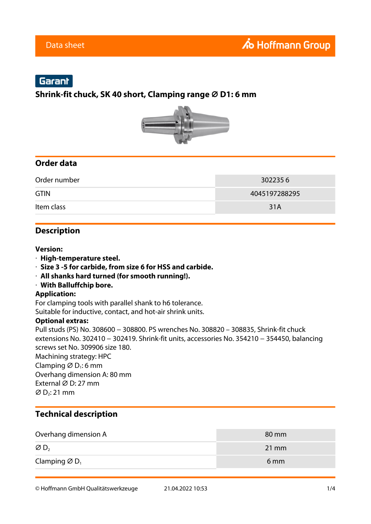# Garant

### **Shrink-fit chuck, SK 40 short, Clamping range ⌀ D1: 6 mm**



## **Order data**

| Order number | 3022356       |
|--------------|---------------|
| <b>GTIN</b>  | 4045197288295 |
| Item class   | 31A           |

### **Description**

#### **Version:**

- · **High-temperature steel.**
- · **Size 3 -5 for carbide, from size 6 for HSS and carbide.**
- · **All shanks hard turned (for smooth running!).**
- · **With Balluffchip bore.**

#### **Application:**

For clamping tools with parallel shank to h6 tolerance. Suitable for inductive, contact, and hot-air shrink units.

#### **Optional extras:**

Pull studs (PS) No. 308600 − 308800. PS wrenches No. 308820 – 308835, Shrink-fit chuck extensions No. 302410 − 302419. Shrink-fit units, accessories No. 354210 − 354450, balancing screws set No. 309906 size 180. Machining strategy: HPC Clamping  $\varnothing$  D<sub>1</sub>: 6 mm Overhang dimension A: 80 mm External ⌀ D: 27 mm  $\varnothing$  D<sub>2</sub>: 21 mm

## **Technical description**

| Overhang dimension A                  | 80 mm           |
|---------------------------------------|-----------------|
| $\varnothing$ D <sub>2</sub>          | $21 \text{ mm}$ |
| Clamping $\varnothing$ D <sub>1</sub> | 6 <sub>mm</sub> |

© Hoffmann GmbH Qualitätswerkzeuge 21.04.2022 10:53 1/4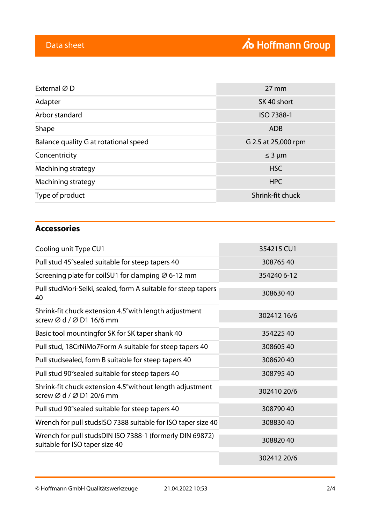| External ØD                           | $27 \, \text{mm}$   |
|---------------------------------------|---------------------|
| Adapter                               | SK 40 short         |
| Arbor standard                        | ISO 7388-1          |
| Shape                                 | <b>ADB</b>          |
| Balance quality G at rotational speed | G 2.5 at 25,000 rpm |
| Concentricity                         | $\leq$ 3 µm         |
| Machining strategy                    | <b>HSC</b>          |
| Machining strategy                    | <b>HPC</b>          |
| Type of product                       | Shrink-fit chuck    |

# **Accessories**

| Cooling unit Type CU1                                                                      | 354215 CU1  |
|--------------------------------------------------------------------------------------------|-------------|
| Pull stud 45° sealed suitable for steep tapers 40                                          | 30876540    |
| Screening plate for coilSU1 for clamping $\varnothing$ 6-12 mm                             | 354240 6-12 |
| Pull studMori-Seiki, sealed, form A suitable for steep tapers<br>40                        | 30863040    |
| Shrink-fit chuck extension 4.5° with length adjustment<br>screw Ø d / Ø D1 16/6 mm         | 302412 16/6 |
| Basic tool mountingfor SK for SK taper shank 40                                            | 35422540    |
| Pull stud, 18CrNiMo7Form A suitable for steep tapers 40                                    | 30860540    |
| Pull studsealed, form B suitable for steep tapers 40                                       | 30862040    |
| Pull stud 90° sealed suitable for steep tapers 40                                          | 30879540    |
| Shrink-fit chuck extension 4.5° without length adjustment<br>screw Ø d / Ø D1 20/6 mm      | 302410 20/6 |
| Pull stud 90° sealed suitable for steep tapers 40                                          | 30879040    |
| Wrench for pull studsISO 7388 suitable for ISO taper size 40                               | 30883040    |
| Wrench for pull studsDIN ISO 7388-1 (formerly DIN 69872)<br>suitable for ISO taper size 40 | 30882040    |
|                                                                                            | 302412 20/6 |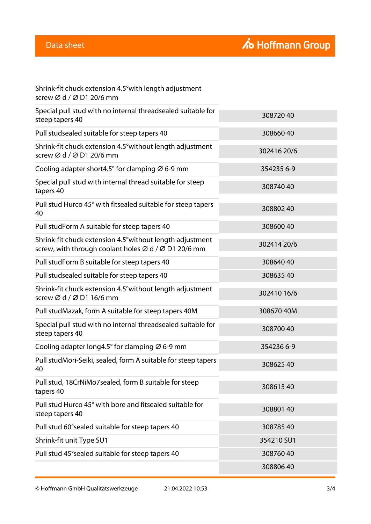| Shrink-fit chuck extension 4.5° with length adjustment                                                                                                                                                                            |
|-----------------------------------------------------------------------------------------------------------------------------------------------------------------------------------------------------------------------------------|
| screw $\varnothing$ d / $\varnothing$ D1 20/6 mm                                                                                                                                                                                  |
| $\sigma$ , and the second contribution of the second contribution of the second contribution of the second contribution of the second contribution of the second contribution of the second contribution of the second contributi |

| Special pull stud with no internal threadsealed suitable for<br>steep tapers 40                                                           | 30872040    |
|-------------------------------------------------------------------------------------------------------------------------------------------|-------------|
| Pull studsealed suitable for steep tapers 40                                                                                              | 30866040    |
| Shrink-fit chuck extension 4.5° without length adjustment<br>screw Ø d / Ø D1 20/6 mm                                                     | 302416 20/6 |
| Cooling adapter short 4.5° for clamping $\varnothing$ 6-9 mm                                                                              | 354235 6-9  |
| Special pull stud with internal thread suitable for steep<br>tapers 40                                                                    | 30874040    |
| Pull stud Hurco 45° with fitsealed suitable for steep tapers<br>40                                                                        | 308802 40   |
| Pull studForm A suitable for steep tapers 40                                                                                              | 30860040    |
| Shrink-fit chuck extension 4.5° without length adjustment<br>screw, with through coolant holes $\varnothing$ d / $\varnothing$ D1 20/6 mm | 302414 20/6 |
| Pull studForm B suitable for steep tapers 40                                                                                              | 30864040    |
| Pull studsealed suitable for steep tapers 40                                                                                              | 30863540    |
| Shrink-fit chuck extension 4.5° without length adjustment<br>screw $\varnothing$ d / $\varnothing$ D1 16/6 mm                             | 302410 16/6 |
| Pull studMazak, form A suitable for steep tapers 40M                                                                                      | 308670 40M  |
| Special pull stud with no internal threadsealed suitable for<br>steep tapers 40                                                           | 30870040    |
| Cooling adapter long4.5 $\degree$ for clamping $\varnothing$ 6-9 mm                                                                       | 354236 6-9  |
| Pull studMori-Seiki, sealed, form A suitable for steep tapers<br>40                                                                       | 30862540    |
| Pull stud, 18CrNiMo7sealed, form B suitable for steep<br>tapers 40                                                                        | 30861540    |
| Pull stud Hurco 45° with bore and fitsealed suitable for<br>steep tapers 40                                                               | 30880140    |
| Pull stud 60° sealed suitable for steep tapers 40                                                                                         | 30878540    |
| Shrink-fit unit Type SU1                                                                                                                  | 354210 SU1  |
| Pull stud 45° sealed suitable for steep tapers 40                                                                                         | 30876040    |
|                                                                                                                                           | 30880640    |